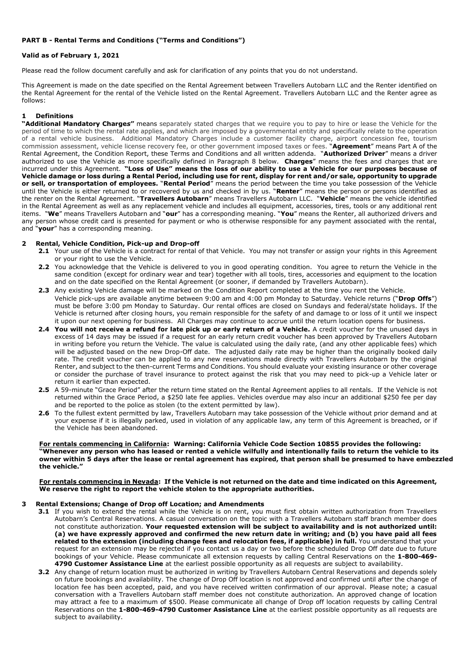# **PART B - Rental Terms and Conditions ("Terms and Conditions")**

# **Valid as of February 1, 2021**

Please read the follow document carefully and ask for clarification of any points that you do not understand.

This Agreement is made on the date specified on the Rental Agreement between Travellers Autobarn LLC and the Renter identified on the Rental Agreement for the rental of the Vehicle listed on the Rental Agreement. Travellers Autobarn LLC and the Renter agree as follows:

# **1 Definitions**

**"Additional Mandatory Charge***s***"** means separately stated charges that we require you to pay to hire or lease the Vehicle for the period of time to which the rental rate applies, and which are imposed by a governmental entity and specifically relate to the operation of a rental vehicle business. Additional Mandatory Charges include a customer facility charge, airport concession fee, tourism commission assessment, vehicle license recovery fee, or other government imposed taxes or fees. "**Agreement**" means Part A of the Rental Agreement, the Condition Report, these Terms and Conditions and all written addenda. "**Authorized Driver**" means a driver authorized to use the Vehicle as more specifically defined in Paragraph [8](#page-1-0) below. **Charges**" means the fees and charges that are incurred under this Agreement. **"Loss of Use" means the loss of our ability to use a Vehicle for our purposes because of Vehicle damage or loss during a Rental Period, including use for rent, display for rent and/or sale, opportunity to upgrade or sell, or transportation of employees.** "**Rental Period**" means the period between the time you take possession of the Vehicle until the Vehicle is either returned to or recovered by us and checked in by us. "**Renter**" means the person or persons identified as the renter on the Rental Agreement. "**Travellers Autobarn**" means Travellers Autobarn LLC. "**Vehicle**" means the vehicle identified in the Rental Agreement as well as any replacement vehicle and includes all equipment, accessories, tires, tools or any additional rent items. "**We**" means Travellers Autobarn and "**our**" has a corresponding meaning. "**You**" means the Renter, all authorized drivers and any person whose credit card is presented for payment or who is otherwise responsible for any payment associated with the rental, and "**your**" has a corresponding meaning.

# **2 Rental, Vehicle Condition, Pick-up and Drop-off**

- **2.1** Your use of the Vehicle is a contract for rental of that Vehicle. You may not transfer or assign your rights in this Agreement or your right to use the Vehicle.
- **2.2** You acknowledge that the Vehicle is delivered to you in good operating condition. You agree to return the Vehicle in the same condition (except for ordinary wear and tear) together with all tools, tires, accessories and equipment to the location and on the date specified on the Rental Agreement (or sooner, if demanded by Travellers Autobarn).
- **2.3** Any existing Vehicle damage will be marked on the Condition Report completed at the time you rent the Vehicle. Vehicle pick-ups are available anytime between 9:00 am and 4:00 pm Monday to Saturday. Vehicle returns ("**Drop Offs**") must be before 3:00 pm Monday to Saturday. Our rental offices are closed on Sundays and federal/state holidays. If the Vehicle is returned after closing hours, you remain responsible for the safety of and damage to or loss of it until we inspect it upon our next opening for business. All Charges may continue to accrue until the return location opens for business.
- **2.4 You will not receive a refund for late pick up or early return of a Vehicle.** A credit voucher for the unused days in excess of 14 days may be issued if a request for an early return credit voucher has been approved by Travellers Autobarn in writing before you return the Vehicle. The value is calculated using the daily rate, (and any other applicable fees) which will be adjusted based on the new Drop-Off date. The adjusted daily rate may be higher than the originally booked daily rate. The credit voucher can be applied to any new reservations made directly with Travellers Autobarn by the original Renter, and subject to the then-current Terms and Conditions. You should evaluate your existing insurance or other coverage or consider the purchase of travel insurance to protect against the risk that you may need to pick-up a Vehicle later or return it earlier than expected.
- **2.5** A 59-minute "Grace Period" after the return time stated on the Rental Agreement applies to all rentals. If the Vehicle is not returned within the Grace Period, a \$250 late fee applies. Vehicles overdue may also incur an additional \$250 fee per day and be reported to the police as stolen (to the extent permitted by law).
- **2.6** To the fullest extent permitted by law, Travellers Autobarn may take possession of the Vehicle without prior demand and at your expense if it is illegally parked, used in violation of any applicable law, any term of this Agreement is breached, or if the Vehicle has been abandoned.

#### **For rentals commencing in California: Warning: California Vehicle Code Section 10855 provides the following: "Whenever any person who has leased or rented a vehicle wilfully and intentionally fails to return the vehicle to its owner within 5 days after the lease or rental agreement has expired, that person shall be presumed to have embezzled the vehicle."**

#### **For rentals commencing in Nevada: If the Vehicle is not returned on the date and time indicated on this Agreement, We reserve the right to report the vehicle stolen to the appropriate authorities.**

# **3 Rental Extensions; Change of Drop off Location; and Amendments**

- **3.1** If you wish to extend the rental while the Vehicle is on rent, you must first obtain written authorization from Travellers Autobarn's Central Reservations. A casual conversation on the topic with a Travellers Autobarn staff branch member does not constitute authorization. **Your requested extension will be subject to availability and is not authorized until: (a) we have expressly approved and confirmed the new return date in writing; and (b) you have paid all fees related to the extension (including change fees and relocation fees, if applicable) in full.** You understand that your request for an extension may be rejected if you contact us a day or two before the scheduled Drop Off date due to future bookings of your Vehicle. Please communicate all extension requests by calling Central Reservations on the **1-800-469- 4790 Customer Assistance Line** at the earliest possible opportunity as all requests are subject to availability.
- **3.2** Any change of return location must be authorized in writing by Travellers Autobarn Central Reservations and depends solely on future bookings and availability. The change of Drop Off location is not approved and confirmed until after the change of location fee has been accepted, paid, and you have received written confirmation of our approval. Please note; a casual conversation with a Travellers Autobarn staff member does not constitute authorization. An approved change of location may attract a fee to a maximum of \$500. Please communicate all change of Drop off location requests by calling Central Reservations on the **1-800-469-4790 Customer Assistance Line** at the earliest possible opportunity as all requests are subject to availability.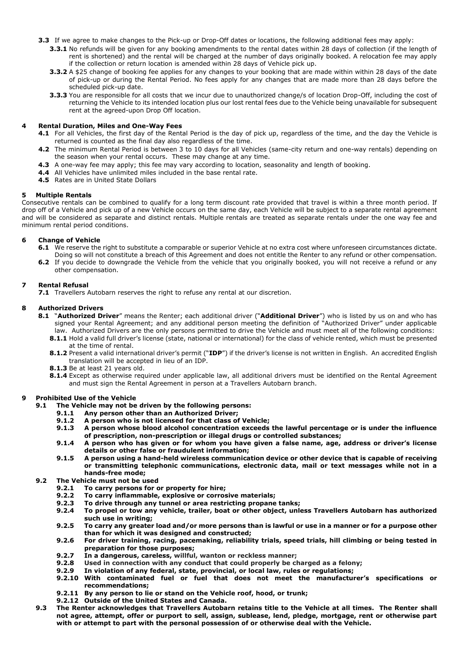- **3.3** If we agree to make changes to the Pick-up or Drop-Off dates or locations, the following additional fees may apply:
	- **3.3.1** No refunds will be given for any booking amendments to the rental dates within 28 days of collection (if the length of rent is shortened) and the rental will be charged at the number of days originally booked. A relocation fee may apply if the collection or return location is amended within 28 days of Vehicle pick up.
	- **3.3.2** A \$25 change of booking fee applies for any changes to your booking that are made within within 28 days of the date of pick-up or during the Rental Period. No fees apply for any changes that are made more than 28 days before the scheduled pick-up date.
	- **3.3.3** You are responsible for all costs that we incur due to unauthorized change/s of location Drop-Off, including the cost of returning the Vehicle to its intended location plus our lost rental fees due to the Vehicle being unavailable for subsequent rent at the agreed-upon Drop Off location.

# **4 Rental Duration, Miles and One-Way Fees**

- **4.1** For all Vehicles, the first day of the Rental Period is the day of pick up, regardless of the time, and the day the Vehicle is returned is counted as the final day also regardless of the time.
- **4.2** The minimum Rental Period is between 3 to 10 days for all Vehicles (same-city return and one-way rentals) depending on the season when your rental occurs. These may change at any time.
- **4.3** A one-way fee may apply; this fee may vary according to location, seasonality and length of booking.
- **4.4** All Vehicles have unlimited miles included in the base rental rate.
- **4.5** Rates are in United State Dollars

#### **5 Multiple Rentals**

Consecutive rentals can be combined to qualify for a long term discount rate provided that travel is within a three month period. If drop off of a Vehicle and pick up of a new Vehicle occurs on the same day, each Vehicle will be subject to a separate rental agreement and will be considered as separate and distinct rentals. Multiple rentals are treated as separate rentals under the one way fee and minimum rental period conditions.

# **6 Change of Vehicle**

- **6.1** We reserve the right to substitute a comparable or superior Vehicle at no extra cost where unforeseen circumstances dictate. Doing so will not constitute a breach of this Agreement and does not entitle the Renter to any refund or other compensation.
- **6.2** If you decide to downgrade the Vehicle from the vehicle that you originally booked, you will not receive a refund or any other compensation.

#### **7 Rental Refusal**

**7.1** Travellers Autobarn reserves the right to refuse any rental at our discretion.

# <span id="page-1-0"></span>**8 Authorized Drivers**

- **8.1** "**Authorized Driver**" means the Renter; each additional driver ("**Additional Driver**") who is listed by us on and who has signed your Rental Agreement; and any additional person meeting the definition of "Authorized Driver" under applicable law. Authorized Drivers are the only persons permitted to drive the Vehicle and must meet all of the following conditions:
	- **8.1.1** Hold a valid full driver's license (state, national or international) for the class of vehicle rented, which must be presented at the time of rental.
	- **8.1.2** Present a valid international driver's permit ("**IDP**") if the driver's license is not written in English. An accredited English translation will be accepted in lieu of an IDP.
	- **8.1.3** Be at least 21 years old.
	- **8.1.4** Except as otherwise required under applicable law, all additional drivers must be identified on the Rental Agreement and must sign the Rental Agreement in person at a Travellers Autobarn branch.

#### <span id="page-1-1"></span>**9 Prohibited Use of the Vehicle**

- **9.1 The Vehicle may not be driven by the following persons:**
	- **9.1.1 Any person other than an Authorized Driver;**
	- **9.1.2 A person who is not licensed for that class of Vehicle;**
	- **9.1.3 A person whose blood alcohol concentration exceeds the lawful percentage or is under the influence of prescription, non-prescription or illegal drugs or controlled substances;**
	- **9.1.4 A person who has given or for whom you have given a false name, age, address or driver's license details or other false or fraudulent information;**
	- **9.1.5 A person using a hand-held wireless communication device or other device that is capable of receiving or transmitting telephonic communications, electronic data, mail or text messages while not in a hands-free mode;**
- **9.2 The Vehicle must not be used**
	- **9.2.1 To carry persons for or property for hire;**
	- **9.2.2 To carry inflammable, explosive or corrosive materials;**
	- **9.2.3 To drive through any tunnel or area restricting propane tanks;**
	- **9.2.4 To propel or tow any vehicle, trailer, boat or other object, unless Travellers Autobarn has authorized such use in writing;**
	- **9.2.5 To carry any greater load and/or more persons than is lawful or use in a manner or for a purpose other than for which it was designed and constructed;**
	- **9.2.6 For driver training, racing, pacemaking, reliability trials, speed trials, hill climbing or being tested in preparation for those purposes;**
	- **9.2.7 In a dangerous, careless, willful, wanton or reckless manner;**
	- **9.2.8 Used in connection with any conduct that could properly be charged as a felony;**
	- **9.2.9 In violation of any federal, state, provincial, or local law, rules or regulations;**
	- **9.2.10 With contaminated fuel or fuel that does not meet the manufacturer's specifications or recommendations;**
		- **9.2.11 By any person to lie or stand on the Vehicle roof, hood, or trunk;**
	- **9.2.12 Outside of the United States and Canada.**
- **9.3 The Renter acknowledges that Travellers Autobarn retains title to the Vehicle at all times. The Renter shall not agree, attempt, offer or purport to sell, assign, sublease, lend, pledge, mortgage, rent or otherwise part with or attempt to part with the personal possession of or otherwise deal with the Vehicle.**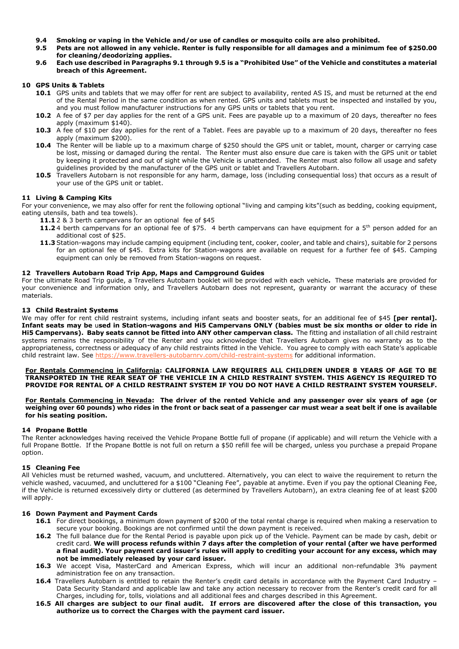- **9.4 Smoking or vaping in the Vehicle and/or use of candles or mosquito coils are also prohibited.**
- <span id="page-2-0"></span>**9.5 Pets are not allowed in any vehicle. Renter is fully responsible for all damages and a minimum fee of \$250.00 for cleaning/deodorizing applies.**
- **9.6 Each use described in Paragraph[s 9.1](#page-1-1) throug[h 9.5](#page-2-0) is a "Prohibited Use" of the Vehicle and constitutes a material breach of this Agreement.**

# **10 GPS Units & Tablets**

- **10.1** GPS units and tablets that we may offer for rent are subject to availability, rented AS IS, and must be returned at the end of the Rental Period in the same condition as when rented. GPS units and tablets must be inspected and installed by you, and you must follow manufacturer instructions for any GPS units or tablets that you rent.
- **10.2** A fee of \$7 per day applies for the rent of a GPS unit. Fees are payable up to a maximum of 20 days, thereafter no fees apply (maximum \$140).
- 10.3 A fee of \$10 per day applies for the rent of a Tablet. Fees are payable up to a maximum of 20 days, thereafter no fees apply (maximum \$200).
- **10.4** The Renter will be liable up to a maximum charge of \$250 should the GPS unit or tablet, mount, charger or carrying case be lost, missing or damaged during the rental. The Renter must also ensure due care is taken with the GPS unit or tablet by keeping it protected and out of sight while the Vehicle is unattended. The Renter must also follow all usage and safety guidelines provided by the manufacturer of the GPS unit or tablet and Travellers Autobarn.
- 10.5 Travellers Autobarn is not responsible for any harm, damage, loss (including consequential loss) that occurs as a result of your use of the GPS unit or tablet.

# **11 Living & Camping Kits**

For your convenience, we may also offer for rent the following optional "living and camping kits"(such as bedding, cooking equipment, eating utensils, bath and tea towels).

- **11.1** 2 & 3 berth campervans for an optional fee of \$45
- **11.2** 4 berth campervans for an optional fee of \$75. 4 berth campervans can have equipment for a 5th person added for an additional cost of \$25.
- **11.3** Station-wagons may include camping equipment (including tent, cooker, cooler, and table and chairs), suitable for 2 persons for an optional fee of \$45. Extra kits for Station-wagons are available on request for a further fee of \$45. Camping equipment can only be removed from Station-wagons on request.

# **12 Travellers Autobarn Road Trip App, Maps and Campground Guides**

For the ultimate Road Trip guide, a Travellers Autobarn booklet will be provided with each vehicle**.** These materials are provided for your convenience and information only, and Travellers Autobarn does not represent, guaranty or warrant the accuracy of these materials.

# **13 Child Restraint Systems**

We may offer for rent child restraint systems, including infant seats and booster seats, for an additional fee of \$45 **[per rental]. Infant seats may be** u**sed in Station-wagons and Hi5 Campervans ONLY (babies must be six months or older to ride in Hi5 Campervans). Baby seats cannot be fitted into ANY other campervan class.** The fitting and installation of all child restraint systems remains the responsibility of the Renter and you acknowledge that Travellers Autobarn gives no warranty as to the appropriateness, correctness or adequacy of any child restraints fitted in the Vehicle. You agree to comply with each State's applicable child restraint law. See<https://www.travellers-autobarnrv.com/child-restraint-systems> for additional information.

### **For Rentals Commencing in California: CALIFORNIA LAW REQUIRES ALL CHILDREN UNDER 8 YEARS OF AGE TO BE TRANSPORTED IN THE REAR SEAT OF THE VEHICLE IN A CHILD RESTRAINT SYSTEM. THIS AGENCY IS REQUIRED TO PROVIDE FOR RENTAL OF A CHILD RESTRAINT SYSTEM IF YOU DO NOT HAVE A CHILD RESTRAINT SYSTEM YOURSELF.**

#### **For Rentals Commencing in Nevada: The driver of the rented Vehicle and any passenger over six years of age (or weighing over 60 pounds) who rides in the front or back seat of a passenger car must wear a seat belt if one is available for his seating position.**

# **14 Propane Bottle**

The Renter acknowledges having received the Vehicle Propane Bottle full of propane (if applicable) and will return the Vehicle with a full Propane Bottle. If the Propane Bottle is not full on return a \$50 refill fee will be charged, unless you purchase a prepaid Propane option.

# **15 Cleaning Fee**

All Vehicles must be returned washed, vacuum, and uncluttered. Alternatively, you can elect to waive the requirement to return the vehicle washed, vacuumed, and uncluttered for a \$100 "Cleaning Fee", payable at anytime. Even if you pay the optional Cleaning Fee, if the Vehicle is returned excessively dirty or cluttered (as determined by Travellers Autobarn), an extra cleaning fee of at least \$200 will apply.

# **16 Down Payment and Payment Cards**

- **16.1** For direct bookings, a minimum down payment of \$200 of the total rental charge is required when making a reservation to secure your booking. Bookings are not confirmed until the down payment is received.
- **16.2** The full balance due for the Rental Period is payable upon pick up of the Vehicle. Payment can be made by cash, debit or credit card. **We will process refunds within 7 days after the completion of your rental (after we have performed a final audit). Your payment card issuer's rules will apply to crediting your account for any excess, which may not be immediately released by your card issuer.**
- **16.3** We accept Visa, MasterCard and American Express, which will incur an additional non-refundable 3% payment administration fee on any transaction.
- **16.4** Travellers Autobarn is entitled to retain the Renter's credit card details in accordance with the Payment Card Industry Data Security Standard and applicable law and take any action necessary to recover from the Renter's credit card for all Charges, including for, tolls, violations and all additional fees and charges described in this Agreement.
- **16.5 All charges are subject to our final audit. If errors are discovered after the close of this transaction, you authorize us to correct the Charges with the payment card issuer.**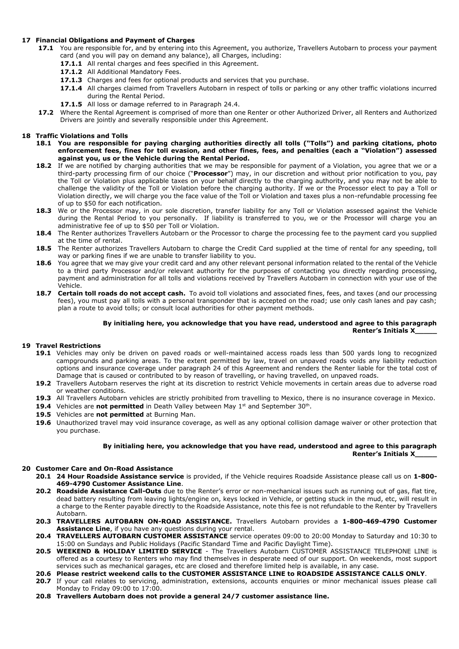# **17 Financial Obligations and Payment of Charges**

- **17.1** You are responsible for, and by entering into this Agreement, you authorize, Travellers Autobarn to process your payment card (and you will pay on demand any balance), all Charges, including:
	- 17.1.1 All rental charges and fees specified in this Agreement.
	- 17.1.2 All Additional Mandatory Fees.
	- **17.1.3** Charges and fees for optional products and services that you purchase.
	- **17.1.4** All charges claimed from Travellers Autobarn in respect of tolls or parking or any other traffic violations incurred during the Rental Period.
	- **17.1.5** All loss or damage referred to in Paragraph [24.](#page-5-0)4.
- **17.2** Where the Rental Agreement is comprised of more than one Renter or other Authorized Driver, all Renters and Authorized Drivers are jointly and severally responsible under this Agreement.

# **18 Traffic Violations and Tolls**

- **18.1 You are responsible for paying charging authorities directly all tolls ("Tolls") and parking citations, photo enforcement fees, fines for toll evasion, and other fines, fees, and penalties (each a "Violation") assessed against you, us or the Vehicle during the Rental Period.**
- **18.2** If we are notified by charging authorities that we may be responsible for payment of a Violation, you agree that we or a third-party processing firm of our choice ("**Processor**") may, in our discretion and without prior notification to you, pay the Toll or Violation plus applicable taxes on your behalf directly to the charging authority, and you may not be able to challenge the validity of the Toll or Violation before the charging authority. If we or the Processor elect to pay a Toll or Violation directly, we will charge you the face value of the Toll or Violation and taxes plus a non-refundable processing fee of up to \$50 for each notification.
- 18.3 We or the Processor may, in our sole discretion, transfer liability for any Toll or Violation assessed against the Vehicle during the Rental Period to you personally. If liability is transferred to you, we or the Processor will charge you an administrative fee of up to \$50 per Toll or Violation.
- **18.4** The Renter authorizes Travellers Autobarn or the Processor to charge the processing fee to the payment card you supplied at the time of rental.
- **18.5** The Renter authorizes Travellers Autobarn to charge the Credit Card supplied at the time of rental for any speeding, toll way or parking fines if we are unable to transfer liability to you.
- **18.6** You agree that we may give your credit card and any other relevant personal information related to the rental of the Vehicle to a third party Processor and/or relevant authority for the purposes of contacting you directly regarding processing, payment and administration for all tolls and violations received by Travellers Autobarn in connection with your use of the Vehicle.
- 18.7 **Certain toll roads do not accept cash.** To avoid toll violations and associated fines, fees, and taxes (and our processing fees), you must pay all tolls with a personal transponder that is accepted on the road; use only cash lanes and pay cash; plan a route to avoid tolls; or consult local authorities for other payment methods.

# **By initialing here, you acknowledge that you have read, understood and agree to this paragraph Renter's Initials X\_\_\_\_\_**

# **19 Travel Restrictions**

- **19.1** Vehicles may only be driven on paved roads or well-maintained access roads less than 500 yards long to recognized campgrounds and parking areas. To the extent permitted by law, travel on unpaved roads voids any liability reduction options and insurance coverage under paragraph [24](#page-5-0) of this Agreement and renders the Renter liable for the total cost of Damage that is caused or contributed to by reason of travelling, or having travelled, on unpaved roads.
- **19.2** Travellers Autobarn reserves the right at its discretion to restrict Vehicle movements in certain areas due to adverse road or weather conditions.
- **19.3** All Travellers Autobarn vehicles are strictly prohibited from travelling to Mexico, there is no insurance coverage in Mexico.
- **19.4** Vehicles are **not permitted** in Death Valley between May 1<sup>st</sup> and September 30<sup>th</sup>.
- **19.5** Vehicles are **not permitted** at Burning Man.
- **19.6** Unauthorized travel may void insurance coverage, as well as any optional collision damage waiver or other protection that you purchase.

# **By initialing here, you acknowledge that you have read, understood and agree to this paragraph Renter's Initials X\_\_\_\_\_**

# **20 Customer Care and On-Road Assistance**

- **20.1 24 Hour Roadside Assistance service** is provided, if the Vehicle requires Roadside Assistance please call us on **1-800- 469-4790 Customer Assistance Line**.
- **20.2 Roadside Assistance Call-Outs** due to the Renter's error or non-mechanical issues such as running out of gas, flat tire, dead battery resulting from leaving lights/engine on, keys locked in Vehicle, or getting stuck in the mud, etc, will result in a charge to the Renter payable directly to the Roadside Assistance, note this fee is not refundable to the Renter by Travellers Autobarn.
- **20.3 TRAVELLERS AUTOBARN ON-ROAD ASSISTANCE.** Travellers Autobarn provides a **1-800-469-4790 Customer Assistance Line**, if you have any questions during your rental.
- **20.4 TRAVELLERS AUTOBARN CUSTOMER ASSISTANCE** service operates 09:00 to 20:00 Monday to Saturday and 10:30 to 15:00 on Sundays and Public Holidays (Pacific Standard Time and Pacific Daylight Time).
- **20.5 WEEKEND & HOLIDAY LIMITED SERVICE** The Travellers Autobarn CUSTOMER ASSISTANCE TELEPHONE LINE is offered as a courtesy to Renters who may find themselves in desperate need of our support. On weekends, most support services such as mechanical garages, etc are closed and therefore limited help is available, in any case.
- **20.6 Please restrict weekend calls to the CUSTOMER ASSISTANCE LINE to ROADSIDE ASSISTANCE CALLS ONLY**.
- **20.7** If your call relates to servicing, administration, extensions, accounts enquiries or minor mechanical issues please call Monday to Friday 09:00 to 17:00.
- **20.8 Travellers Autobarn does not provide a general 24/7 customer assistance line.**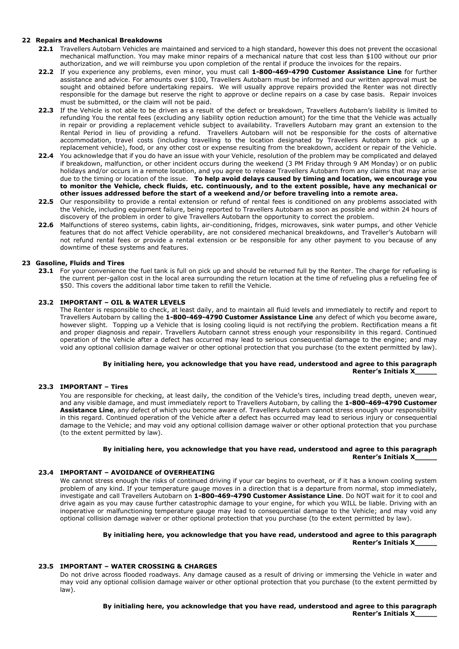# **22 Repairs and Mechanical Breakdowns**

- **22.1** Travellers Autobarn Vehicles are maintained and serviced to a high standard, however this does not prevent the occasional mechanical malfunction. You may make minor repairs of a mechanical nature that cost less than \$100 without our prior authorization, and we will reimburse you upon completion of the rental if produce the invoices for the repairs.
- **22.2** If you experience any problems, even minor, you must call **1-800-469-4790 Customer Assistance Line** for further assistance and advice. For amounts over \$100, Travellers Autobarn must be informed and our written approval must be sought and obtained before undertaking repairs. We will usually approve repairs provided the Renter was not directly responsible for the damage but reserve the right to approve or decline repairs on a case by case basis. Repair invoices must be submitted, or the claim will not be paid.
- **22.3** If the Vehicle is not able to be driven as a result of the defect or breakdown, Travellers Autobarn's liability is limited to refunding You the rental fees (excluding any liability option reduction amount) for the time that the Vehicle was actually in repair or providing a replacement vehicle subject to availability. Travellers Autobarn may grant an extension to the Rental Period in lieu of providing a refund. Travellers Autobarn will not be responsible for the costs of alternative accommodation, travel costs (including travelling to the location designated by Travellers Autobarn to pick up a replacement vehicle), food, or any other cost or expense resulting from the breakdown, accident or repair of the Vehicle.
- **22.4** You acknowledge that if you do have an issue with your Vehicle, resolution of the problem may be complicated and delayed if breakdown, malfunction, or other incident occurs during the weekend (3 PM Friday through 9 AM Monday) or on public holidays and/or occurs in a remote location, and you agree to release Travellers Autobarn from any claims that may arise due to the timing or location of the issue. **To help avoid delays caused by timing and location, we encourage you to monitor the Vehicle, check fluids, etc. continuously, and to the extent possible, have any mechanical or other issues addressed before the start of a weekend and/or before traveling into a remote area.**
- **22.5** Our responsibility to provide a rental extension or refund of rental fees is conditioned on any problems associated with the Vehicle, including equipment failure, being reported to Travellers Autobarn as soon as possible and within 24 hours of discovery of the problem in order to give Travellers Autobarn the opportunity to correct the problem.
- **22.6** Malfunctions of stereo systems, cabin lights, air-conditioning, fridges, microwaves, sink water pumps, and other Vehicle features that do not affect Vehicle operability, are not considered mechanical breakdowns, and Traveller's Autobarn will not refund rental fees or provide a rental extension or be responsible for any other payment to you because of any downtime of these systems and features.

#### **23 Gasoline, Fluids and Tires**

**23.1** For your convenience the fuel tank is full on pick up and should be returned full by the Renter. The charge for refueling is the current per-gallon cost in the local area surrounding the return location at the time of refueling plus a refueling fee of \$50. This covers the additional labor time taken to refill the Vehicle.

#### **23.2 IMPORTANT – OIL & WATER LEVELS**

The Renter is responsible to check, at least daily, and to maintain all fluid levels and immediately to rectify and report to Travellers Autobarn by calling the **1-800-469-4790 Customer Assistance Line** any defect of which you become aware, however slight. Topping up a Vehicle that is losing cooling liquid is not rectifying the problem. Rectification means a fit and proper diagnosis and repair. Travellers Autobarn cannot stress enough your responsibility in this regard. Continued operation of the Vehicle after a defect has occurred may lead to serious consequential damage to the engine; and may void any optional collision damage waiver or other optional protection that you purchase (to the extent permitted by law).

# **By initialing here, you acknowledge that you have read, understood and agree to this paragraph Renter's Initials X\_\_\_\_\_**

#### **23.3 IMPORTANT – Tires**

You are responsible for checking, at least daily, the condition of the Vehicle's tires, including tread depth, uneven wear, and any visible damage, and must immediately report to Travellers Autobarn, by calling the **1-800-469-4790 Customer Assistance Line**, any defect of which you become aware of. Travellers Autobarn cannot stress enough your responsibility in this regard. Continued operation of the Vehicle after a defect has occurred may lead to serious injury or consequential damage to the Vehicle; and may void any optional collision damage waiver or other optional protection that you purchase (to the extent permitted by law).

# **By initialing here, you acknowledge that you have read, understood and agree to this paragraph Renter's Initials X\_\_\_\_\_**

#### **23.4 IMPORTANT – AVOIDANCE of OVERHEATING**

We cannot stress enough the risks of continued driving if your car begins to overheat, or if it has a known cooling system problem of any kind. If your temperature gauge moves in a direction that is a departure from normal, stop immediately, investigate and call Travellers Autobarn on **1-800-469-4790 Customer Assistance Line**. Do NOT wait for it to cool and drive again as you may cause further catastrophic damage to your engine, for which you WILL be liable. Driving with an inoperative or malfunctioning temperature gauge may lead to consequential damage to the Vehicle; and may void any optional collision damage waiver or other optional protection that you purchase (to the extent permitted by law).

# **By initialing here, you acknowledge that you have read, understood and agree to this paragraph Renter's Initials X\_\_\_\_\_**

#### **23.5 IMPORTANT – WATER CROSSING & CHARGES**

Do not drive across flooded roadways. Any damage caused as a result of driving or immersing the Vehicle in water and may void any optional collision damage waiver or other optional protection that you purchase (to the extent permitted by law).

# **By initialing here, you acknowledge that you have read, understood and agree to this paragraph Renter's Initials X\_\_\_\_\_**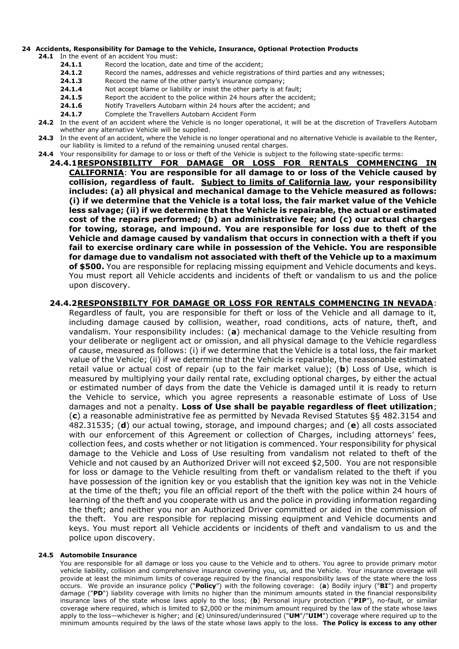# <span id="page-5-0"></span>**24 Accidents, Responsibility for Damage to the Vehicle, Insurance, Optional Protection Products**

**24.1** In the event of an accident You must:

- **24.1.1** Record the location, date and time of the accident;
- **24.1.2** Record the names, addresses and vehicle registrations of third parties and any witnesses;
- **24.1.3** Record the name of the other party's insurance company;
- **24.1.4** Not accept blame or liability or insist the other party is at fault;
- 24.1.5 Report the accident to the police within 24 hours after the accident;
- **24.1.6** Notify Travellers Autobarn within 24 hours after the accident; and
- 24.1.7 Complete the Travellers Autobarn Accident Form
- **24.2** In the event of an accident where the Vehicle is no longer operational, it will be at the discretion of Travellers Autobarn whether any alternative Vehicle will be supplied.
- **24.3** In the event of an accident, where the Vehicle is no longer operational and no alternative Vehicle is available to the Renter, our liability is limited to a refund of the remaining unused rental charges.
- **24.4** Your responsibility for damage to or loss or theft of the Vehicle is subject to the following state-specific terms:
	- **24.4.1RESPONSIBILITY FOR DAMAGE OR LOSS FOR RENTALS COMMENCING IN CALIFORNIA**: **You are responsible for all damage to or loss of the Vehicle caused by collision, regardless of fault. Subject to limits of California law, your responsibility includes: (a) all physical and mechanical damage to the Vehicle measured as follows: (i) if we determine that the Vehicle is a total loss, the fair market value of the Vehicle less salvage; (ii) if we determine that the Vehicle is repairable, the actual or estimated cost of the repairs performed; (b) an administrative fee; and (c) our actual charges for towing, storage, and impound. You are responsible for loss due to theft of the Vehicle and damage caused by vandalism that occurs in connection with a theft if you fail to exercise ordinary care while in possession of the Vehicle. You are responsible for damage due to vandalism not associated with theft of the Vehicle up to a maximum of \$500.** You are responsible for replacing missing equipment and Vehicle documents and keys. You must report all Vehicle accidents and incidents of theft or vandalism to us and the police upon discovery.

# **24.4.2RESPONSIBILTY FOR DAMAGE OR LOSS FOR RENTALS COMMENCING IN NEVADA**:

Regardless of fault, you are responsible for theft or loss of the Vehicle and all damage to it, including damage caused by collision, weather, road conditions, acts of nature, theft, and vandalism. Your responsibility includes: (**a**) mechanical damage to the Vehicle resulting from your deliberate or negligent act or omission, and all physical damage to the Vehicle regardless of cause, measured as follows: (i) if we determine that the Vehicle is a total loss, the fair market value of the Vehicle; (ii) if we determine that the Vehicle is repairable, the reasonable estimated retail value or actual cost of repair (up to the fair market value); (**b**) Loss of Use, which is measured by multiplying your daily rental rate, excluding optional charges, by either the actual or estimated number of days from the date the Vehicle is damaged until it is ready to return the Vehicle to service, which you agree represents a reasonable estimate of Loss of Use damages and not a penalty. **Loss of Use shall be payable regardless of fleet utilization**; (**c**) a reasonable administrative fee as permitted by Nevada Revised Statutes §§ 482.3154 and 482.31535; (**d**) our actual towing, storage, and impound charges; and (**e**) all costs associated with our enforcement of this Agreement or collection of Charges, including attorneys' fees, collection fees, and costs whether or not litigation is commenced. Your responsibility for physical damage to the Vehicle and Loss of Use resulting from vandalism not related to theft of the Vehicle and not caused by an Authorized Driver will not exceed \$2,500. You are not responsible for loss or damage to the Vehicle resulting from theft or vandalism related to the theft if you have possession of the ignition key or you establish that the ignition key was not in the Vehicle at the time of the theft; you file an official report of the theft with the police within 24 hours of learning of the theft and you cooperate with us and the police in providing information regarding the theft; and neither you nor an Authorized Driver committed or aided in the commission of the theft. You are responsible for replacing missing equipment and Vehicle documents and keys. You must report all Vehicle accidents or incidents of theft and vandalism to us and the police upon discovery.

# **24.5 Automobile Insurance**

You are responsible for all damage or loss you cause to the Vehicle and to others. You agree to provide primary motor vehicle liability, collision and comprehensive insurance covering you, us, and the Vehicle. Your insurance coverage will provide at least the minimum limits of coverage required by the financial responsibility laws of the state where the loss occurs. We provide an insurance policy ("**Policy**") with the following coverage: (**a**) Bodily injury ("**BI**") and property damage ("**PD**") liability coverage with limits no higher than the minimum amounts stated in the financial responsibility insurance laws of the state whose laws apply to the loss; (**b**) Personal injury protection ("**PIP**"), no-fault, or similar coverage where required, which is limited to \$2,000 or the minimum amount required by the law of the state whose laws apply to the loss—whichever is higher; and (**c**) Uninsured/underinsured ("**UM**"/"**UIM**") coverage where required up to the minimum amounts required by the laws of the state whose laws apply to the loss. **The Policy is excess to any other**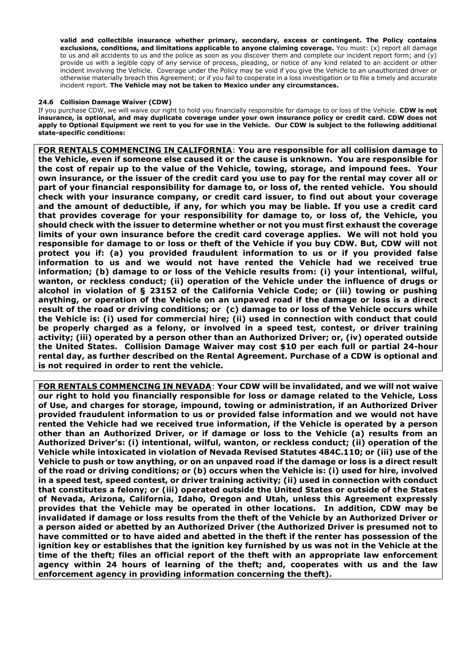**valid and collectible insurance whether primary, secondary, excess or contingent. The Policy contains exclusions, conditions, and limitations applicable to anyone claiming coverage.** You must: (x) report all damage to us and all accidents to us and the police as soon as you discover them and complete our incident report form; and (y) provide us with a legible copy of any service of process, pleading, or notice of any kind related to an accident or other incident involving the Vehicle. Coverage under the Policy may be void if you give the Vehicle to an unauthorized driver or otherwise materially breach this Agreement; or if you fail to cooperate in a loss investigation or to file a timely and accurate incident report. **The Vehicle may not be taken to Mexico under any circumstances.**

# **24.6 Collision Damage Waiver (CDW)**

If you purchase CDW, we will waive our right to hold you financially responsible for damage to or loss of the Vehicle. **CDW is not insurance, is optional, and may duplicate coverage under your own insurance policy or credit card. CDW does not apply to Optional Equipment we rent to you for use in the Vehicle. Our CDW is subject to the following additional state-specific conditions:**

**FOR RENTALS COMMENCING IN CALIFORNIA**: **You are responsible for all collision damage to the Vehicle, even if someone else caused it or the cause is unknown. You are responsible for the cost of repair up to the value of the Vehicle, towing, storage, and impound fees. Your own insurance, or the issuer of the credit card you use to pay for the rental may cover all or part of your financial responsibility for damage to, or loss of, the rented vehicle. You should check with your insurance company, or credit card issuer, to find out about your coverage and the amount of deductible, if any, for which you may be liable. If you use a credit card that provides coverage for your responsibility for damage to, or loss of, the Vehicle, you should check with the issuer to determine whether or not you must first exhaust the coverage limits of your own insurance before the credit card coverage applies. We will not hold you responsible for damage to or loss or theft of the Vehicle if you buy CDW. But, CDW will not protect you if: (a) you provided fraudulent information to us or if you provided false information to us and we would not have rented the Vehicle had we received true information; (b) damage to or loss of the Vehicle results from: (i) your intentional, wilful, wanton, or reckless conduct; (ii) operation of the Vehicle under the influence of drugs or alcohol in violation of § 23152 of the California Vehicle Code; or (iii) towing or pushing anything, or operation of the Vehicle on an unpaved road if the damage or loss is a direct result of the road or driving conditions; or (c) damage to or loss of the Vehicle occurs while the Vehicle is: (i) used for commercial hire; (ii) used in connection with conduct that could be properly charged as a felony, or involved in a speed test, contest, or driver training activity; (iii) operated by a person other than an Authorized Driver; or, (iv) operated outside the United States. Collision Damage Waiver may cost \$10 per each full or partial 24-hour rental day, as further described on the Rental Agreement. Purchase of a CDW is optional and is not required in order to rent the vehicle.** 

**FOR RENTALS COMMENCING IN NEVADA**: **Your CDW will be invalidated, and we will not waive our right to hold you financially responsible for loss or damage related to the Vehicle, Loss of Use, and charges for storage, impound, towing or administration, if an Authorized Driver provided fraudulent information to us or provided false information and we would not have rented the Vehicle had we received true information, if the Vehicle is operated by a person other than an Authorized Driver, or if damage or loss to the Vehicle (a) results from an Authorized Driver's: (i) intentional, wilful, wanton, or reckless conduct; (ii) operation of the Vehicle while intoxicated in violation of Nevada Revised Statutes 484C.110; or (iii) use of the Vehicle to push or tow anything, or on an unpaved road if the damage or loss is a direct result of the road or driving conditions; or (b) occurs when the Vehicle is: (i) used for hire, involved in a speed test, speed contest, or driver training activity; (ii) used in connection with conduct that constitutes a felony; or (iii) operated outside the United States or outside of the States of Nevada, Arizona, California, Idaho, Oregon and Utah, unless this Agreement expressly provides that the Vehicle may be operated in other locations. In addition, CDW may be invalidated if damage or loss results from the theft of the Vehicle by an Authorized Driver or a person aided or abetted by an Authorized Driver (the Authorized Driver is presumed not to have committed or to have aided and abetted in the theft if the renter has possession of the ignition key or establishes that the ignition key furnished by us was not in the Vehicle at the time of the theft; files an official report of the theft with an appropriate law enforcement agency within 24 hours of learning of the theft; and, cooperates with us and the law enforcement agency in providing information concerning the theft).**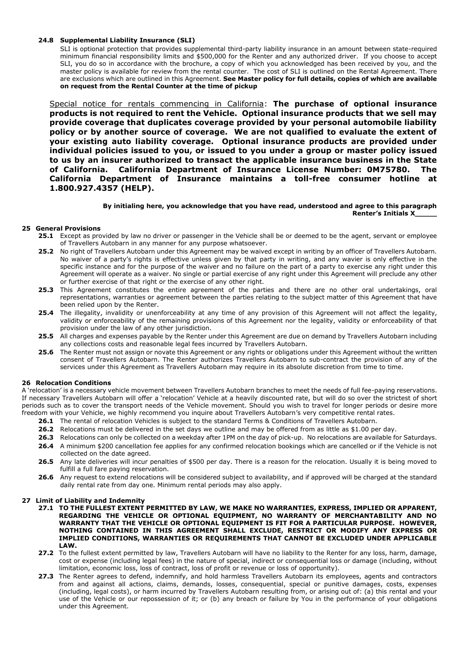#### **24.8 Supplemental Liability Insurance (SLI)**

SLI is optional protection that provides supplemental third-party liability insurance in an amount between state-required minimum financial responsibility limits and \$500,000 for the Renter and any authorized driver. If you choose to accept SLI, you do so in accordance with the brochure, a copy of which you acknowledged has been received by you, and the master policy is available for review from the rental counter. The cost of SLI is outlined on the Rental Agreement. There are exclusions which are outlined in this Agreement. **See Master policy for full details, copies of which are available on request from the Rental Counter at the time of pickup**

Special notice for rentals commencing in California: **The purchase of optional insurance products is not required to rent the Vehicle. Optional insurance products that we sell may provide coverage that duplicates coverage provided by your personal automobile liability policy or by another source of coverage. We are not qualified to evaluate the extent of your existing auto liability coverage. Optional insurance products are provided under individual policies issued to you, or issued to you under a group or master policy issued to us by an insurer authorized to transact the applicable insurance business in the State of California. California Department of Insurance License Number: 0M75780. The California Department of Insurance maintains a toll-free consumer hotline at 1.800.927.4357 (HELP).** 

> **By initialing here, you acknowledge that you have read, understood and agree to this paragraph Renter's Initials X\_\_\_\_\_**

#### **25 General Provisions**

- **25.1** Except as provided by law no driver or passenger in the Vehicle shall be or deemed to be the agent, servant or employee of Travellers Autobarn in any manner for any purpose whatsoever.
- **25.2** No right of Travellers Autobarn under this Agreement may be waived except in writing by an officer of Travellers Autobarn. No waiver of a party's rights is effective unless given by that party in writing, and any wavier is only effective in the specific instance and for the purpose of the waiver and no failure on the part of a party to exercise any right under this Agreement will operate as a waiver. No single or partial exercise of any right under this Agreement will preclude any other or further exercise of that right or the exercise of any other right.
- **25.3** This Agreement constitutes the entire agreement of the parties and there are no other oral undertakings, oral representations, warranties or agreement between the parties relating to the subject matter of this Agreement that have been relied upon by the Renter.
- **25.4** The illegality, invalidity or unenforceability at any time of any provision of this Agreement will not affect the legality, validity or enforceability of the remaining provisions of this Agreement nor the legality, validity or enforceability of that provision under the law of any other jurisdiction.
- **25.5** All charges and expenses payable by the Renter under this Agreement are due on demand by Travellers Autobarn including any collections costs and reasonable legal fees incurred by Travellers Autobarn.
- **25.6** The Renter must not assign or novate this Agreement or any rights or obligations under this Agreement without the written consent of Travellers Autobarn. The Renter authorizes Travellers Autobarn to sub-contract the provision of any of the services under this Agreement as Travellers Autobarn may require in its absolute discretion from time to time.

# **26 Relocation Conditions**

A 'relocation' is a necessary vehicle movement between Travellers Autobarn branches to meet the needs of full fee-paying reservations. If necessary Travellers Autobarn will offer a 'relocation' Vehicle at a heavily discounted rate, but will do so over the strictest of short periods such as to cover the transport needs of the Vehicle movement. Should you wish to travel for longer periods or desire more freedom with your Vehicle, we highly recommend you inquire about Travellers Autobarn's very competitive rental rates.

- **26.1** The rental of relocation Vehicles is subject to the standard Terms & Conditions of Travellers Autobarn.
- **26.2** Relocations must be delivered in the set days we outline and may be offered from as little as \$1.00 per day.
- **26.3** Relocations can only be collected on a weekday after 1PM on the day of pick-up. No relocations are available for Saturdays.
- **26.4** A minimum \$200 cancellation fee applies for any confirmed relocation bookings which are cancelled or if the Vehicle is not collected on the date agreed.
- **26.5** Any late deliveries will incur penalties of \$500 per day. There is a reason for the relocation. Usually it is being moved to fulfill a full fare paying reservation.
- **26.6** Any request to extend relocations will be considered subject to availability, and if approved will be charged at the standard daily rental rate from day one. Minimum rental periods may also apply.

#### **27 Limit of Liability and Indemnity**

- **27.1 TO THE FULLEST EXTENT PERMITTED BY LAW, WE MAKE NO WARRANTIES, EXPRESS, IMPLIED OR APPARENT, REGARDING THE VEHICLE OR OPTIONAL EQUIPMENT, NO WARRANTY OF MERCHANTABILITY AND NO WARRANTY THAT THE VEHICLE OR OPTIONAL EQUIPMENT IS FIT FOR A PARTICULAR PURPOSE. HOWEVER, NOTHING CONTAINED IN THIS AGREEMENT SHALL EXCLUDE, RESTRICT OR MODIFY ANY EXPRESS OR IMPLIED CONDITIONS, WARRANTIES OR REQUIREMENTS THAT CANNOT BE EXCLUDED UNDER APPLICABLE LAW.**
- **27.2** To the fullest extent permitted by law, Travellers Autobarn will have no liability to the Renter for any loss, harm, damage, cost or expense (including legal fees) in the nature of special, indirect or consequential loss or damage (including, without limitation, economic loss, loss of contract, loss of profit or revenue or loss of opportunity).
- **27.3** The Renter agrees to defend, indemnify, and hold harmless Travellers Autobarn its employees, agents and contractors from and against all actions, claims, demands, losses, consequential, special or punitive damages, costs, expenses (including, legal costs), or harm incurred by Travellers Autobarn resulting from, or arising out of: (a) this rental and your use of the Vehicle or our repossession of it; or (b) any breach or failure by You in the performance of your obligations under this Agreement.